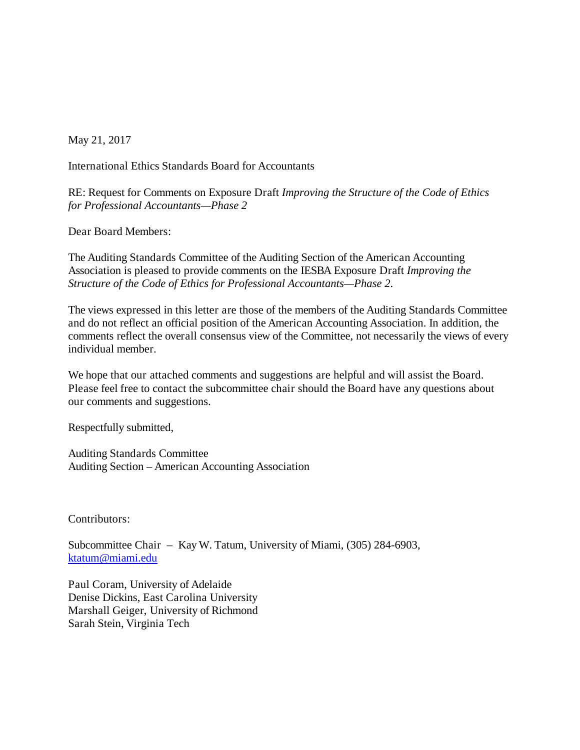May 21, 2017

International Ethics Standards Board for Accountants

RE: Request for Comments on Exposure Draft *Improving the Structure of the Code of Ethics for Professional Accountants—Phase 2*

Dear Board Members:

The Auditing Standards Committee of the Auditing Section of the American Accounting Association is pleased to provide comments on the IESBA Exposure Draft *Improving the Structure of the Code of Ethics for Professional Accountants—Phase 2*.

The views expressed in this letter are those of the members of the Auditing Standards Committee and do not reflect an official position of the American Accounting Association. In addition, the comments reflect the overall consensus view of the Committee, not necessarily the views of every individual member.

We hope that our attached comments and suggestions are helpful and will assist the Board. Please feel free to contact the subcommittee chair should the Board have any questions about our comments and suggestions.

Respectfully submitted,

Auditing Standards Committee Auditing Section – American Accounting Association

Contributors:

Subcommittee Chair – Kay W. Tatum, University of Miami, (305) 284-6903, [ktatum@miami.edu](mailto:ktatum@miami.edu)

Paul Coram, University of Adelaide Denise Dickins, East Carolina University Marshall Geiger, University of Richmond Sarah Stein, Virginia Tech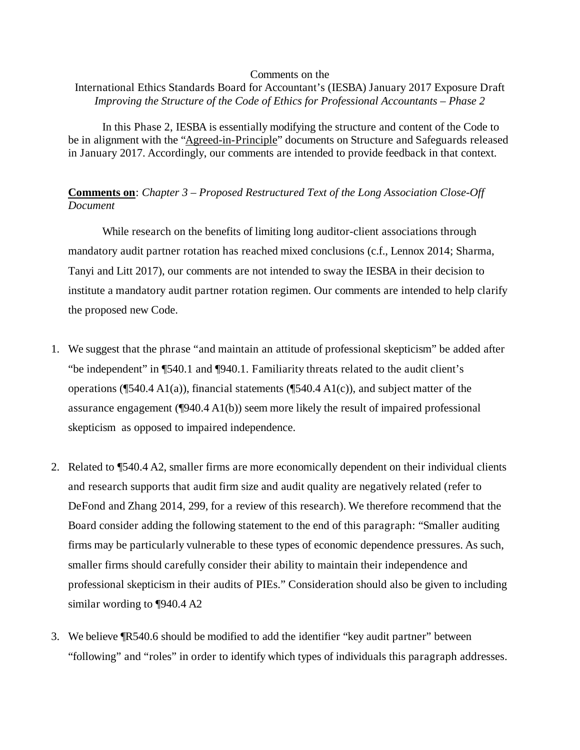#### Comments on the

## International Ethics Standards Board for Accountant's (IESBA) January 2017 Exposure Draft *Improving the Structure of the Code of Ethics for Professional Accountants – Phase 2*

In this Phase 2, IESBA is essentially modifying the structure and content of the Code to be in alignment with the "Agreed-in-Principle" documents on Structure and Safeguards released in January 2017. Accordingly, our comments are intended to provide feedback in that context.

## **Comments on**: *Chapter 3 – Proposed Restructured Text of the Long Association Close-Off Document*

While research on the benefits of limiting long auditor-client associations through mandatory audit partner rotation has reached mixed conclusions (c.f., Lennox 2014; Sharma, Tanyi and Litt 2017), our comments are not intended to sway the IESBA in their decision to institute a mandatory audit partner rotation regimen. Our comments are intended to help clarify the proposed new Code.

- 1. We suggest that the phrase "and maintain an attitude of professional skepticism" be added after "be independent" in ¶540.1 and ¶940.1. Familiarity threats related to the audit client's operations (¶540.4 A1(a)), financial statements (¶540.4 A1(c)), and subject matter of the assurance engagement (¶940.4 A1(b)) seem more likely the result of impaired professional skepticism as opposed to impaired independence.
- 2. Related to ¶540.4 A2, smaller firms are more economically dependent on their individual clients and research supports that audit firm size and audit quality are negatively related (refer to DeFond and Zhang 2014, 299, for a review of this research). We therefore recommend that the Board consider adding the following statement to the end of this paragraph: "Smaller auditing firms may be particularly vulnerable to these types of economic dependence pressures. As such, smaller firms should carefully consider their ability to maintain their independence and professional skepticism in their audits of PIEs." Consideration should also be given to including similar wording to ¶940.4 A2
- 3. We believe ¶R540.6 should be modified to add the identifier "key audit partner" between "following" and "roles" in order to identify which types of individuals this paragraph addresses.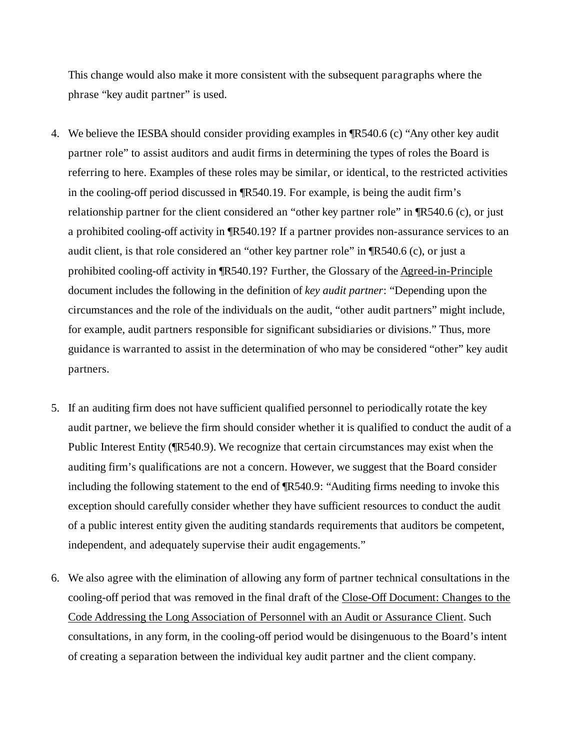This change would also make it more consistent with the subsequent paragraphs where the phrase "key audit partner" is used.

- 4. We believe the IESBA should consider providing examples in ¶R540.6 (c) "Any other key audit partner role" to assist auditors and audit firms in determining the types of roles the Board is referring to here. Examples of these roles may be similar, or identical, to the restricted activities in the cooling-off period discussed in ¶R540.19. For example, is being the audit firm's relationship partner for the client considered an "other key partner role" in ¶R540.6 (c), or just a prohibited cooling-off activity in ¶R540.19? If a partner provides non-assurance services to an audit client, is that role considered an "other key partner role" in ¶R540.6 (c), or just a prohibited cooling-off activity in ¶R540.19? Further, the Glossary of the Agreed-in-Principle document includes the following in the definition of *key audit partner*: "Depending upon the circumstances and the role of the individuals on the audit, "other audit partners" might include, for example, audit partners responsible for significant subsidiaries or divisions." Thus, more guidance is warranted to assist in the determination of who may be considered "other" key audit partners.
- 5. If an auditing firm does not have sufficient qualified personnel to periodically rotate the key audit partner, we believe the firm should consider whether it is qualified to conduct the audit of a Public Interest Entity (¶R540.9). We recognize that certain circumstances may exist when the auditing firm's qualifications are not a concern. However, we suggest that the Board consider including the following statement to the end of ¶R540.9: "Auditing firms needing to invoke this exception should carefully consider whether they have sufficient resources to conduct the audit of a public interest entity given the auditing standards requirements that auditors be competent, independent, and adequately supervise their audit engagements."
- 6. We also agree with the elimination of allowing any form of partner technical consultations in the cooling-off period that was removed in the final draft of the Close-Off Document: Changes to the Code Addressing the Long Association of Personnel with an Audit or Assurance Client. Such consultations, in any form, in the cooling-off period would be disingenuous to the Board's intent of creating a separation between the individual key audit partner and the client company.